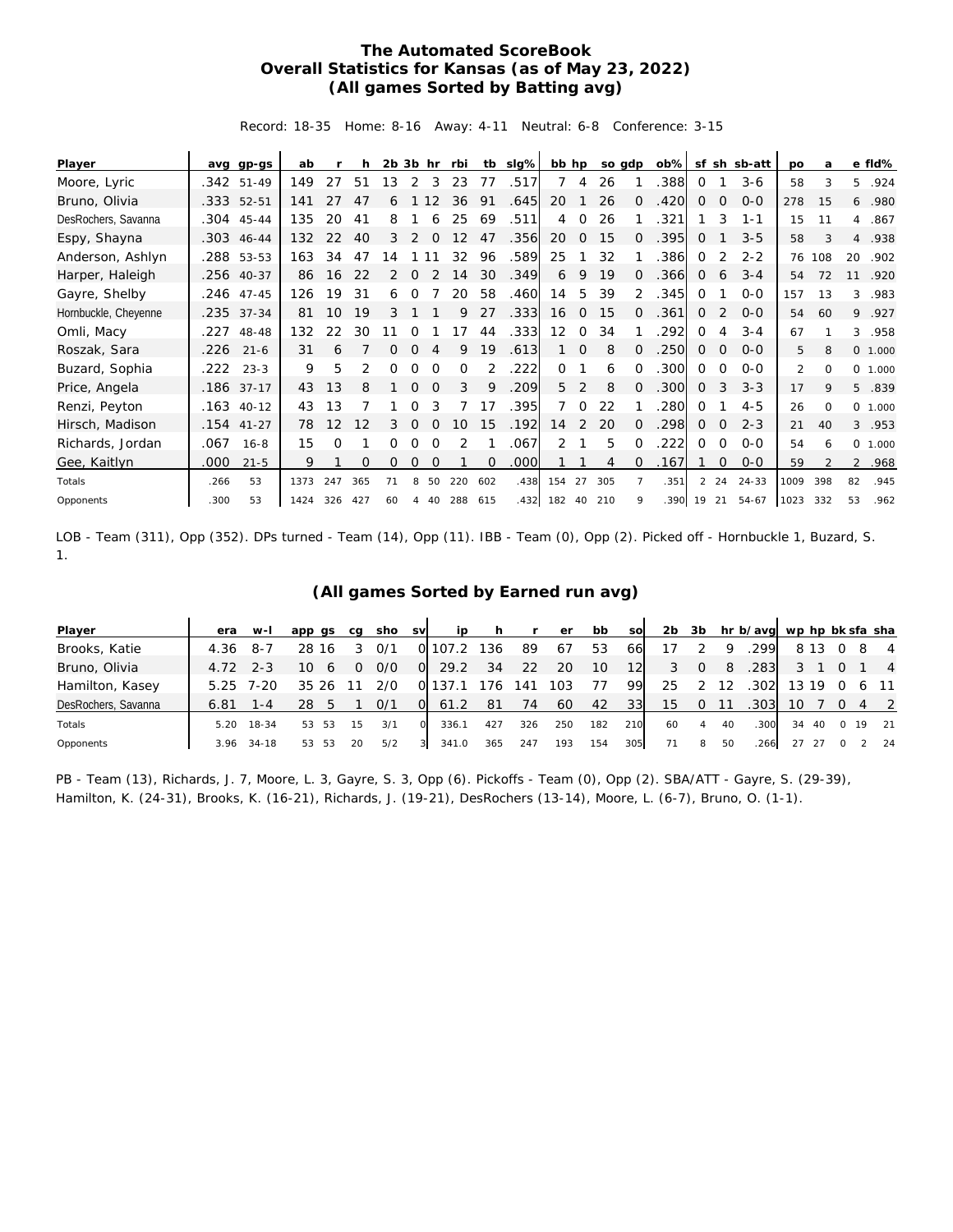## **The Automated ScoreBook Overall Statistics for Kansas (as of May 23, 2022) (All games Sorted by Batting avg)**

Record: 18-35 Home: 8-16 Away: 4-11 Neutral: 6-8 Conference: 3-15

| Player               | avq  | gp-gs        | ab   |     |     | $2b$ $3b$ hr |          |          | rbi      | tb  | $slq\%$ | bb hp    |                |     | so gdp   | $ob\%$ | sf             | sh          | sb-att    | po   | a        |    | e fld%  |
|----------------------|------|--------------|------|-----|-----|--------------|----------|----------|----------|-----|---------|----------|----------------|-----|----------|--------|----------------|-------------|-----------|------|----------|----|---------|
| Moore, Lyric         |      | $.342$ 51-49 | 149  | 27  | 51  | 13           | 2        | 3        | 23       | 77  | .517    | 7        | 4              | 26  |          | 388    | 0              |             | $3 - 6$   | 58   | 3        | 5. | .924    |
| Bruno, Olivia        |      | .333 52-51   | 141  |     | 47  | 6            |          | 12       | 36       | 91  | .645    | 20       |                | 26  | 0        | .420   | $\Omega$       | $\Omega$    | $0 - 0$   | 278  | 15       | 6  | .980    |
| DesRochers, Savanna  |      | .304 45-44   | 135  | 20  | 41  | 8            |          | 6        | 25       | 69  | .511    | 4        | $\Omega$       | 26  |          | 321    |                | 3           | $1 - 1$   | 15   | 11       | 4  | .867    |
| Espy, Shayna         |      | .303 46-44   | 132  | 22  | 40  | 3            | 2        | $\Omega$ | 12       | 47  | .356    | 20       | $\Omega$       | 15  | 0        | 395    | 0              |             | $3 - 5$   | 58   | 3        | 4  | .938    |
| Anderson, Ashlyn     |      | .288 53-53   | 163  | 34  | 47  | 14           |          |          | 32       | 96  | .589    | 25       |                | 32  |          | 386    | 0              | 2           | $2 - 2$   | 76   | 108      | 20 | .902    |
| Harper, Haleigh      |      | .256 40-37   | 86   | 16  | 22  | 2            | 0        |          | 14       | 30  | .349    | 6        | 9              | 19  | Ω        | .366   | 0              | 6           | $3 - 4$   | 54   | 72       | 11 | .920    |
| Gayre, Shelby        |      | .246 47-45   | 126  | 19  | 31  | 6            | 0        |          | 20       | 58  | .460    | 14       | 5              | 39  | 2        | .345   | $\Omega$       |             | $0 - 0$   | 157  | 13       | 3  | .983    |
| Hornbuckle, Cheyenne |      | .235 37-34   | 81   | 10  | 19  | 3            |          |          | 9        | 27  | .333    | 16       | $\overline{0}$ | 15  | 0        | .361   | 0              | 2           | $0 - 0$   | 54   | 60       | 9  | .927    |
| Omli, Macy           | .227 | 48-48        | 132  | 22  | 30  |              | Ω        |          | 17       | 44  | .333    | 12       | $\Omega$       | 34  |          | 292    | $\Omega$       | 4           | $3 - 4$   | 67   |          | 3  | .958    |
| Roszak, Sara         | .226 | $21 - 6$     | 31   | 6   |     | 0            | $\Omega$ |          | 9        | 19  | .613    |          | $\mathbf 0$    | 8   | $\Omega$ | 250    | 0              | 0           | $O - O$   | 5    | 8        |    | 0 1.000 |
| Buzard, Sophia       | .222 | $23 - 3$     | 9    | 5   |     |              |          |          | $\Omega$ |     | .222    | $\Omega$ |                | 6   |          | 300    | $\Omega$       | $\Omega$    | $0 - 0$   | 2    | $\Omega$ |    | 0 1.000 |
| Price, Angela        |      | .186 37-17   | 43   | 13  | 8   |              | $\Omega$ |          | 3        | 9   | .209    | 5        | 2              | 8   | 0        | .300   | 0              | 3           | $3 - 3$   | 17   | 9        | 5  | .839    |
| Renzi, Peyton        |      | $.163$ 40-12 | 43   | 13  |     |              | Ω        |          |          | 17  | .395    | 7        | $\Omega$       | 22  |          | 280    | $\Omega$       |             | $4 - 5$   | 26   | $\Omega$ |    | 0 1.000 |
| Hirsch, Madison      |      | $.154$ 41-27 | 78   | 12  | 12  | 3            | $\Omega$ | $\Omega$ | 10       | 15  | .192    | 14       | 2              | 20  | $\Omega$ | .298   | 0              | $\mathbf 0$ | $2 - 3$   | 21   | 40       | 3  | .953    |
| Richards, Jordan     | .067 | $16 - 8$     | 15   | 0   |     | 0            | 0        | $\Omega$ | 2        |     | .067    | 2        |                | 5   | $\Omega$ | 222    | 0              | 0           | $0 - 0$   | 54   | 6        |    | 0 1.000 |
| Gee, Kaitlyn         | .000 | $21 - 5$     | 9    |     | Ω   | 0            | 0        | 0        |          | 0   | .000    |          |                | 4   | 0        | .167   |                | $\Omega$    | $0 - 0$   | 59   |          |    | 2.968   |
| Totals               | .266 | 53           | 1373 | 247 | 365 | 71           | 8        | 50       | 220      | 602 | .438    | 154      | 27             | 305 |          | .351   | $\overline{2}$ | 24          | $24 - 33$ | 1009 | 398      | 82 | .945    |
| Opponents            | .300 | 53           | 1424 | 326 | 427 | 60           | 4        | 40       | 288      | 615 | .432    | 182      | 40             | 210 | 9        | .390   | 19             | 21          | 54-67     | 1023 | 332      | 53 | .962    |

LOB - Team (311), Opp (352). DPs turned - Team (14), Opp (11). IBB - Team (0), Opp (2). Picked off - Hornbuckle 1, Buzard, S. 1.

## **(All games Sorted by Earned run avg)**

| Player              | era        | $W-I$ | app qs   | ca | sho  | <b>SV</b> | ip    | <b>h</b> | $\mathsf{r}$ | er  | bb  | sol | 2 <sub>b</sub> | 3b       |    | hr b/avg wp hp bk sfa sha |    |       |          |    |                |
|---------------------|------------|-------|----------|----|------|-----------|-------|----------|--------------|-----|-----|-----|----------------|----------|----|---------------------------|----|-------|----------|----|----------------|
| Brooks, Katie       | 4.36       | -8-7  | 28 16    |    | 0/1  |           | 107.2 | 136      | 89           | -67 | 53  | 66  |                |          | Q  | .299                      |    | 8 1 3 |          | -8 | $\overline{4}$ |
| Bruno, Olivia       | $4.72$ 2-3 |       | 10<br>6  | Ω  | 0/0  | $\Omega$  | 29.2  | 34       | 22           | 20  | 10  | 12  | 3              | $\Omega$ | 8  | .283                      |    |       |          |    | $\overline{4}$ |
| Hamilton, Kasey     | 5.25       | 7-20  | 35       |    | 270. |           |       | 76       | 41،          | 103 | 77  | 99  | 25             |          | 12 | .302                      |    | 13 19 |          |    | 6 11           |
| DesRochers, Savanna | 6.81       | 1 - 4 | 28       |    | 0/1  | $\Omega$  | 61.2  | -81      | 74           | 60  | 42  | 33  | 15             | 0        |    | .303                      | 10 |       |          |    | 4 2            |
| Totals              | 5.20       | 18-34 | 53<br>53 | 15 | 3/1  |           | 336.1 | 427      | 326          | 250 | 182 | 210 | 60             | 4        | 40 | 300                       | 34 | 40    | $\Omega$ | 19 | 21             |
| Opponents           | 3.96       | 34-18 | 53<br>53 | 20 | 5/2  | 3         | 341.0 | 365      | 247          | 193 | 154 | 305 | 71             | 8        | 50 | 266                       | 27 |       |          |    | 24             |

PB - Team (13), Richards, J. 7, Moore, L. 3, Gayre, S. 3, Opp (6). Pickoffs - Team (0), Opp (2). SBA/ATT - Gayre, S. (29-39), Hamilton, K. (24-31), Brooks, K. (16-21), Richards, J. (19-21), DesRochers (13-14), Moore, L. (6-7), Bruno, O. (1-1).